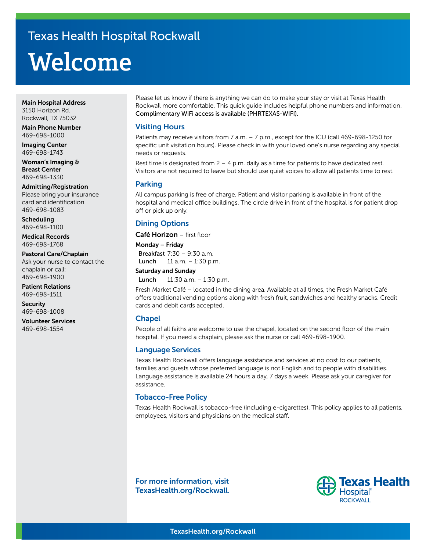# **Welcome** Texas Health Hospital Rockwall

#### Main Hospital Address 3150 Horizon Rd. Rockwall, TX 75032

Main Phone Number 469-698-1000

Imaging Center 469-698-1743

Woman's Imaging & Breast Center 469-698-1330

Admitting/Registration Please bring your insurance card and identification 469-698-1083

Scheduling 469-698-1100

Medical Records 469-698-1768

Pastoral Care/Chaplain Ask your nurse to contact the chaplain or call: 469-698-1900

Patient Relations 469-698-1511

**Security** 469-698-1008

Volunteer Services 469-698-1554

Please let us know if there is anything we can do to make your stay or visit at Texas Health Rockwall more comfortable. This quick guide includes helpful phone numbers and information. Complimentary WiFi access is available (PHRTEXAS-WIFI).

#### Visiting Hours

Patients may receive visitors from 7 a.m. - 7 p.m., except for the ICU (call 469-698-1250 for specific unit visitation hours). Please check in with your loved one's nurse regarding any special needs or requests.

Rest time is designated from  $2 - 4$  p.m. daily as a time for patients to have dedicated rest. Visitors are not required to leave but should use quiet voices to allow all patients time to rest.

#### Parking

All campus parking is free of charge. Patient and visitor parking is available in front of the hospital and medical office buildings. The circle drive in front of the hospital is for patient drop off or pick up only.

# Dining Options

Café Horizon - first floor

Monday – Friday Breakfast 7:30 – 9:30 a.m. Lunch 11 a.m. – 1:30 p.m.

#### Saturday and Sunday

Lunch 11:30 a.m. – 1:30 p.m.

Fresh Market Café – located in the dining area. Available at all times, the Fresh Market Café offers traditional vending options along with fresh fruit, sandwiches and healthy snacks. Credit cards and debit cards accepted.

## Chapel

People of all faiths are welcome to use the chapel, located on the second floor of the main hospital. If you need a chaplain, please ask the nurse or call 469-698-1900.

## Language Services

Texas Health Rockwall offers language assistance and services at no cost to our patients, families and guests whose preferred language is not English and to people with disabilities. Language assistance is available 24 hours a day, 7 days a week. Please ask your caregiver for assistance.

## Tobacco-Free Policy

Texas Health Rockwall is tobacco-free (including e-cigarettes). This policy applies to all patients, employees, visitors and physicians on the medical staff.

For more information, visit TexasHealth.org/Rockwall.